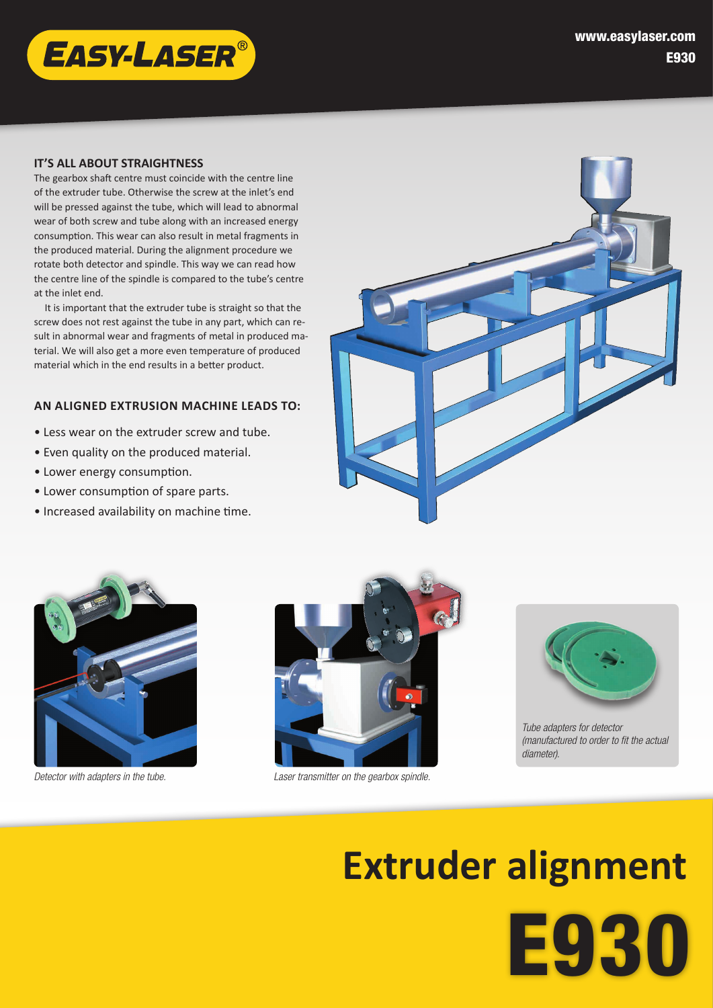

# **IT'S ALL ABOUT STRAIGHTNESS**

The gearbox shaft centre must coincide with the centre line of the extruder tube. Otherwise the screw at the inlet's end will be pressed against the tube, which will lead to abnormal wear of both screw and tube along with an increased energy consumption. This wear can also result in metal fragments in the produced material. During the alignment procedure we rotate both detector and spindle. This way we can read how the centre line of the spindle is compared to the tube's centre at the inlet end.

 It is important that the extruder tube is straight so that the screw does not rest against the tube in any part, which can result in abnormal wear and fragments of metal in produced material. We will also get a more even temperature of produced material which in the end results in a better product.

# **AN ALIGNED EXTRUSION MACHINE LEADS TO:**

- Less wear on the extruder screw and tube.
- Even quality on the produced material.
- Lower energy consumption.
- Lower consumption of spare parts.
- Increased availability on machine time.







Detector with adapters in the tube.  $Laser$  transmitter on the gearbox spindle.



Tube adapters for detector (manufactured to order to fit the actual diameter).

# E930 **Extruder alignment**